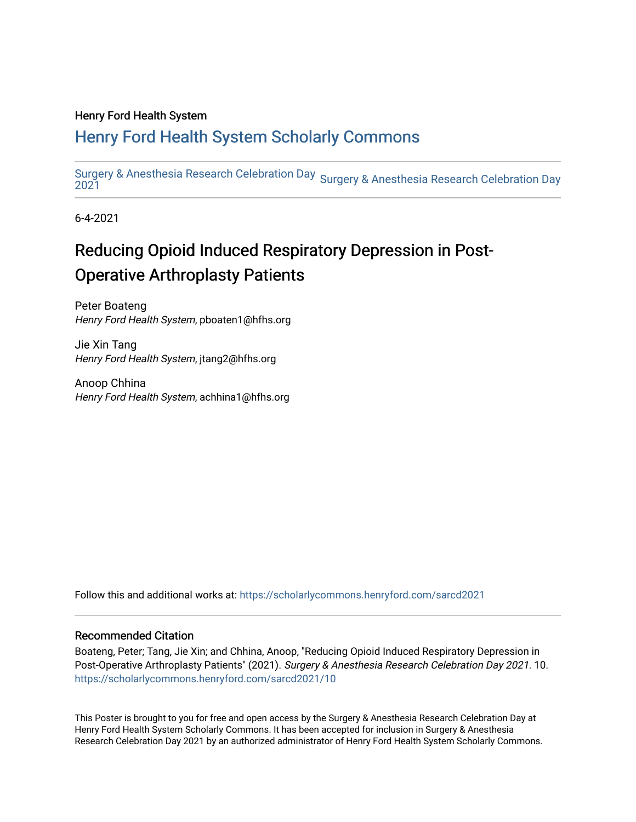### Henry Ford Health System

### [Henry Ford Health System Scholarly Commons](https://scholarlycommons.henryford.com/)

[Surgery & Anesthesia Research Celebration Day](https://scholarlycommons.henryford.com/sarcd)  <sub>Surgery</sub> & Anesthesia Research Celebration Day<br>2021

6-4-2021

### Reducing Opioid Induced Respiratory Depression in Post-**Operative Arthroplasty Patients**

Peter Boateng Henry Ford Health System, pboaten1@hfhs.org

Jie Xin Tang Henry Ford Health System, jtang2@hfhs.org

Anoop Chhina Henry Ford Health System, achhina1@hfhs.org

Follow this and additional works at: [https://scholarlycommons.henryford.com/sarcd2021](https://scholarlycommons.henryford.com/sarcd2021?utm_source=scholarlycommons.henryford.com%2Fsarcd2021%2F10&utm_medium=PDF&utm_campaign=PDFCoverPages)

### Recommended Citation

Boateng, Peter; Tang, Jie Xin; and Chhina, Anoop, "Reducing Opioid Induced Respiratory Depression in Post-Operative Arthroplasty Patients" (2021). Surgery & Anesthesia Research Celebration Day 2021. 10. [https://scholarlycommons.henryford.com/sarcd2021/10](https://scholarlycommons.henryford.com/sarcd2021/10?utm_source=scholarlycommons.henryford.com%2Fsarcd2021%2F10&utm_medium=PDF&utm_campaign=PDFCoverPages) 

This Poster is brought to you for free and open access by the Surgery & Anesthesia Research Celebration Day at Henry Ford Health System Scholarly Commons. It has been accepted for inclusion in Surgery & Anesthesia Research Celebration Day 2021 by an authorized administrator of Henry Ford Health System Scholarly Commons.